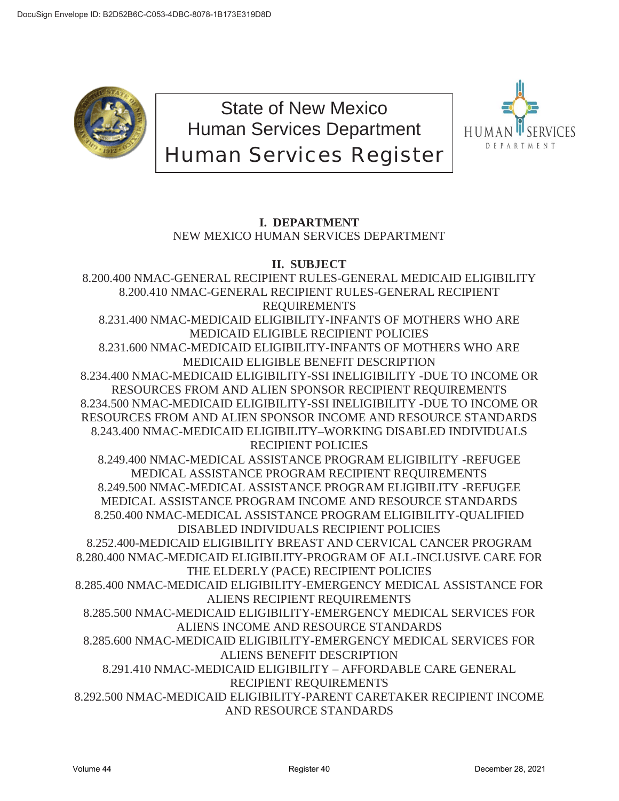

State of New Mexico Human Services Department Human Services Register



# **I. DEPARTMENT** NEW MEXICO HUMAN SERVICES DEPARTMENT

# **II. SUBJECT**

8.200.400 NMAC-GENERAL RECIPIENT RULES-GENERAL MEDICAID ELIGIBILITY 8.200.410 NMAC-GENERAL RECIPIENT RULES-GENERAL RECIPIENT REQUIREMENTS 8.231.400 NMAC-MEDICAID ELIGIBILITY-INFANTS OF MOTHERS WHO ARE MEDICAID ELIGIBLE RECIPIENT POLICIES 8.231.600 NMAC-MEDICAID ELIGIBILITY-INFANTS OF MOTHERS WHO ARE MEDICAID ELIGIBLE BENEFIT DESCRIPTION 8.234.400 NMAC-MEDICAID ELIGIBILITY-SSI INELIGIBILITY -DUE TO INCOME OR RESOURCES FROM AND ALIEN SPONSOR RECIPIENT REQUIREMENTS 8.234.500 NMAC-MEDICAID ELIGIBILITY-SSI INELIGIBILITY -DUE TO INCOME OR RESOURCES FROM AND ALIEN SPONSOR INCOME AND RESOURCE STANDARDS 8.243.400 NMAC-MEDICAID ELIGIBILITY–WORKING DISABLED INDIVIDUALS RECIPIENT POLICIES 8.249.400 NMAC-MEDICAL ASSISTANCE PROGRAM ELIGIBILITY -REFUGEE MEDICAL ASSISTANCE PROGRAM RECIPIENT REQUIREMENTS 8.249.500 NMAC-MEDICAL ASSISTANCE PROGRAM ELIGIBILITY -REFUGEE MEDICAL ASSISTANCE PROGRAM INCOME AND RESOURCE STANDARDS 8.250.400 NMAC-MEDICAL ASSISTANCE PROGRAM ELIGIBILITY-QUALIFIED DISABLED INDIVIDUALS RECIPIENT POLICIES 8.252.400-MEDICAID ELIGIBILITY BREAST AND CERVICAL CANCER PROGRAM 8.280.400 NMAC-MEDICAID ELIGIBILITY-PROGRAM OF ALL-INCLUSIVE CARE FOR THE ELDERLY (PACE) RECIPIENT POLICIES 8.285.400 NMAC-MEDICAID ELIGIBILITY-EMERGENCY MEDICAL ASSISTANCE FOR ALIENS RECIPIENT REQUIREMENTS 8.285.500 NMAC-MEDICAID ELIGIBILITY-EMERGENCY MEDICAL SERVICES FOR ALIENS INCOME AND RESOURCE STANDARDS 8.285.600 NMAC-MEDICAID ELIGIBILITY-EMERGENCY MEDICAL SERVICES FOR ALIENS BENEFIT DESCRIPTION 8.291.410 NMAC-MEDICAID ELIGIBILITY – AFFORDABLE CARE GENERAL RECIPIENT REQUIREMENTS 8.292.500 NMAC-MEDICAID ELIGIBILITY-PARENT CARETAKER RECIPIENT INCOME AND RESOURCE STANDARDS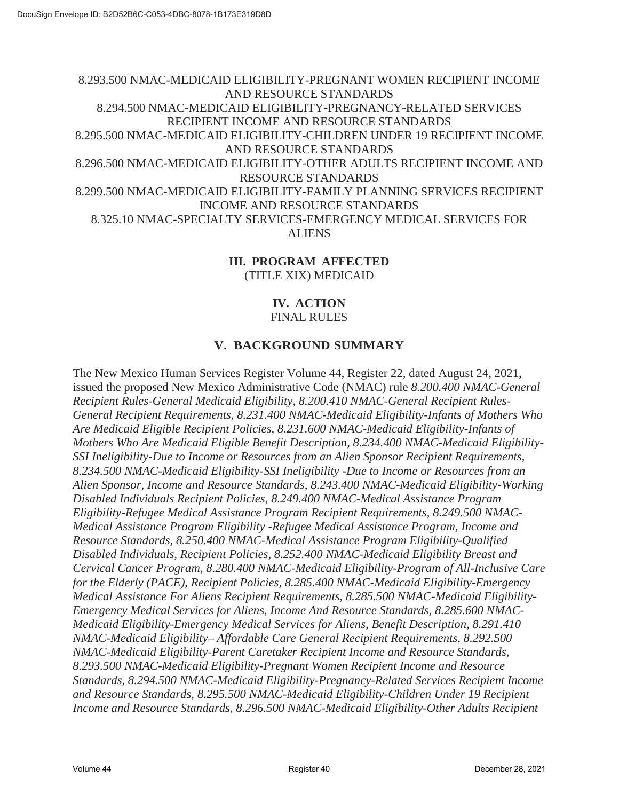8.293.500 NMAC-MEDICAID ELIGIBILITY-PREGNANT WOMEN RECIPIENT INCOME AND RESOURCE STANDARDS 8.294.500 NMAC-MEDICAID ELIGIBILITY-PREGNANCY-RELATED SERVICES RECIPIENT INCOME AND RESOURCE STANDARDS 8.295.500 NMAC-MEDICAID ELIGIBILITY-CHILDREN UNDER 19 RECIPIENT INCOME AND RESOURCE STANDARDS 8.296.500 NMAC-MEDICAID ELIGIBILITY-OTHER ADULTS RECIPIENT INCOME AND RESOURCE STANDARDS 8.299.500 NMAC-MEDICAID ELIGIBILITY-FAMILY PLANNING SERVICES RECIPIENT INCOME AND RESOURCE STANDARDS 8.325.10 NMAC-SPECIALTY SERVICES-EMERGENCY MEDICAL SERVICES FOR ALIENS

### **III. PROGRAM AFFECTED** (TITLE XIX) MEDICAID

### **IV. ACTION** FINAL RULES

## **V. BACKGROUND SUMMARY**

The New Mexico Human Services Register Volume 44, Register 22, dated August 24, 2021, issued the proposed New Mexico Administrative Code (NMAC) rule *8.200.400 NMAC-General Recipient Rules-General Medicaid Eligibility, 8.200.410 NMAC-General Recipient Rules-General Recipient Requirements, 8.231.400 NMAC-Medicaid Eligibility-Infants of Mothers Who Are Medicaid Eligible Recipient Policies, 8.231.600 NMAC-Medicaid Eligibility-Infants of Mothers Who Are Medicaid Eligible Benefit Description, 8.234.400 NMAC-Medicaid Eligibility-SSI Ineligibility-Due to Income or Resources from an Alien Sponsor Recipient Requirements, 8.234.500 NMAC-Medicaid Eligibility-SSI Ineligibility -Due to Income or Resources from an Alien Sponsor, Income and Resource Standards, 8.243.400 NMAC-Medicaid Eligibility-Working Disabled Individuals Recipient Policies, 8.249.400 NMAC-Medical Assistance Program Eligibility-Refugee Medical Assistance Program Recipient Requirements, 8.249.500 NMAC-Medical Assistance Program Eligibility -Refugee Medical Assistance Program, Income and Resource Standards, 8.250.400 NMAC-Medical Assistance Program Eligibility-Qualified Disabled Individuals, Recipient Policies, 8.252.400 NMAC-Medicaid Eligibility Breast and Cervical Cancer Program, 8.280.400 NMAC-Medicaid Eligibility-Program of All-Inclusive Care for the Elderly (PACE), Recipient Policies, 8.285.400 NMAC-Medicaid Eligibility-Emergency Medical Assistance For Aliens Recipient Requirements, 8.285.500 NMAC-Medicaid Eligibility-Emergency Medical Services for Aliens, Income And Resource Standards, 8.285.600 NMAC-Medicaid Eligibility-Emergency Medical Services for Aliens, Benefit Description, 8.291.410 NMAC-Medicaid Eligibility– Affordable Care General Recipient Requirements, 8.292.500 NMAC-Medicaid Eligibility-Parent Caretaker Recipient Income and Resource Standards, 8.293.500 NMAC-Medicaid Eligibility-Pregnant Women Recipient Income and Resource Standards, 8.294.500 NMAC-Medicaid Eligibility-Pregnancy-Related Services Recipient Income and Resource Standards, 8.295.500 NMAC-Medicaid Eligibility-Children Under 19 Recipient Income and Resource Standards, 8.296.500 NMAC-Medicaid Eligibility-Other Adults Recipient*